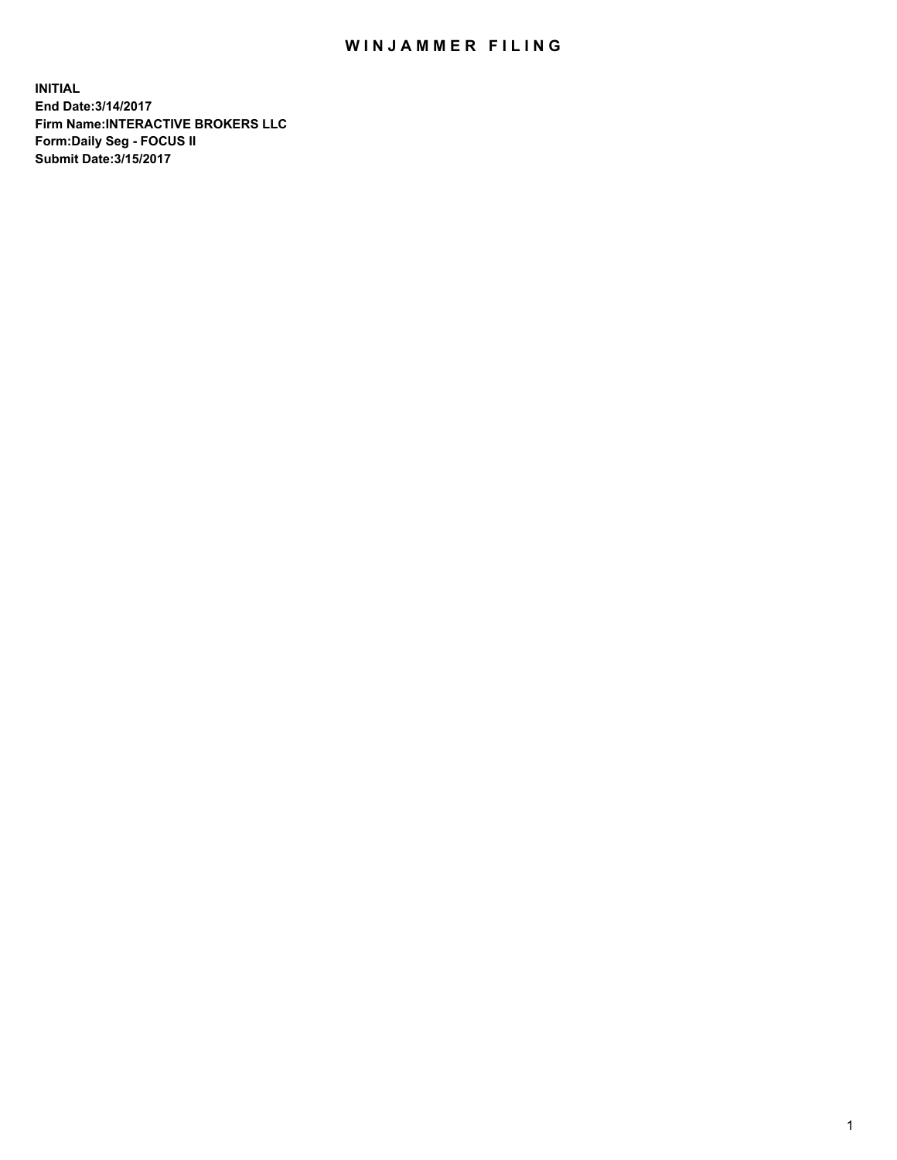## WIN JAMMER FILING

**INITIAL End Date:3/14/2017 Firm Name:INTERACTIVE BROKERS LLC Form:Daily Seg - FOCUS II Submit Date:3/15/2017**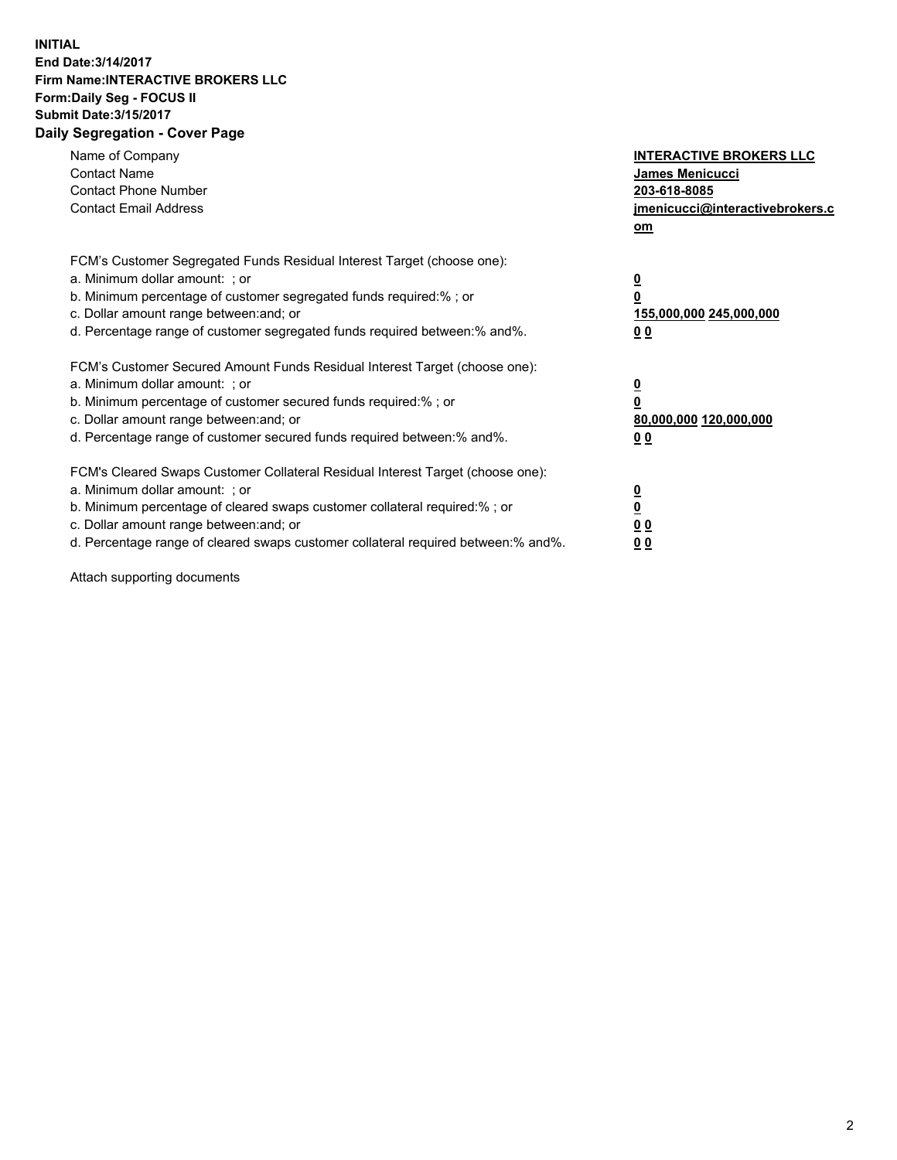## **INITIAL End Date:3/14/2017 Firm Name:INTERACTIVE BROKERS LLC Form:Daily Seg - FOCUS II Submit Date:3/15/2017 Daily Segregation - Cover Page**

| Name of Company<br><b>Contact Name</b><br><b>Contact Phone Number</b><br><b>Contact Email Address</b>                                                                                                                                                                                                                          | <b>INTERACTIVE BROKERS LLC</b><br><b>James Menicucci</b><br>203-618-8085<br>jmenicucci@interactivebrokers.c<br>om |
|--------------------------------------------------------------------------------------------------------------------------------------------------------------------------------------------------------------------------------------------------------------------------------------------------------------------------------|-------------------------------------------------------------------------------------------------------------------|
| FCM's Customer Segregated Funds Residual Interest Target (choose one):<br>a. Minimum dollar amount: ; or<br>b. Minimum percentage of customer segregated funds required:%; or<br>c. Dollar amount range between: and; or<br>d. Percentage range of customer segregated funds required between:% and%.                          | $\overline{\mathbf{0}}$<br>0<br>155,000,000 245,000,000<br>0 <sub>0</sub>                                         |
| FCM's Customer Secured Amount Funds Residual Interest Target (choose one):<br>a. Minimum dollar amount: ; or<br>b. Minimum percentage of customer secured funds required:%; or<br>c. Dollar amount range between: and; or<br>d. Percentage range of customer secured funds required between: % and %.                          | $\overline{\mathbf{0}}$<br>0<br>80,000,000 120,000,000<br>0 <sub>0</sub>                                          |
| FCM's Cleared Swaps Customer Collateral Residual Interest Target (choose one):<br>a. Minimum dollar amount: ; or<br>b. Minimum percentage of cleared swaps customer collateral required:% ; or<br>c. Dollar amount range between: and; or<br>d. Percentage range of cleared swaps customer collateral required between:% and%. | $\overline{\mathbf{0}}$<br>$\overline{\mathbf{0}}$<br>0 <sub>0</sub><br><u>00</u>                                 |

Attach supporting documents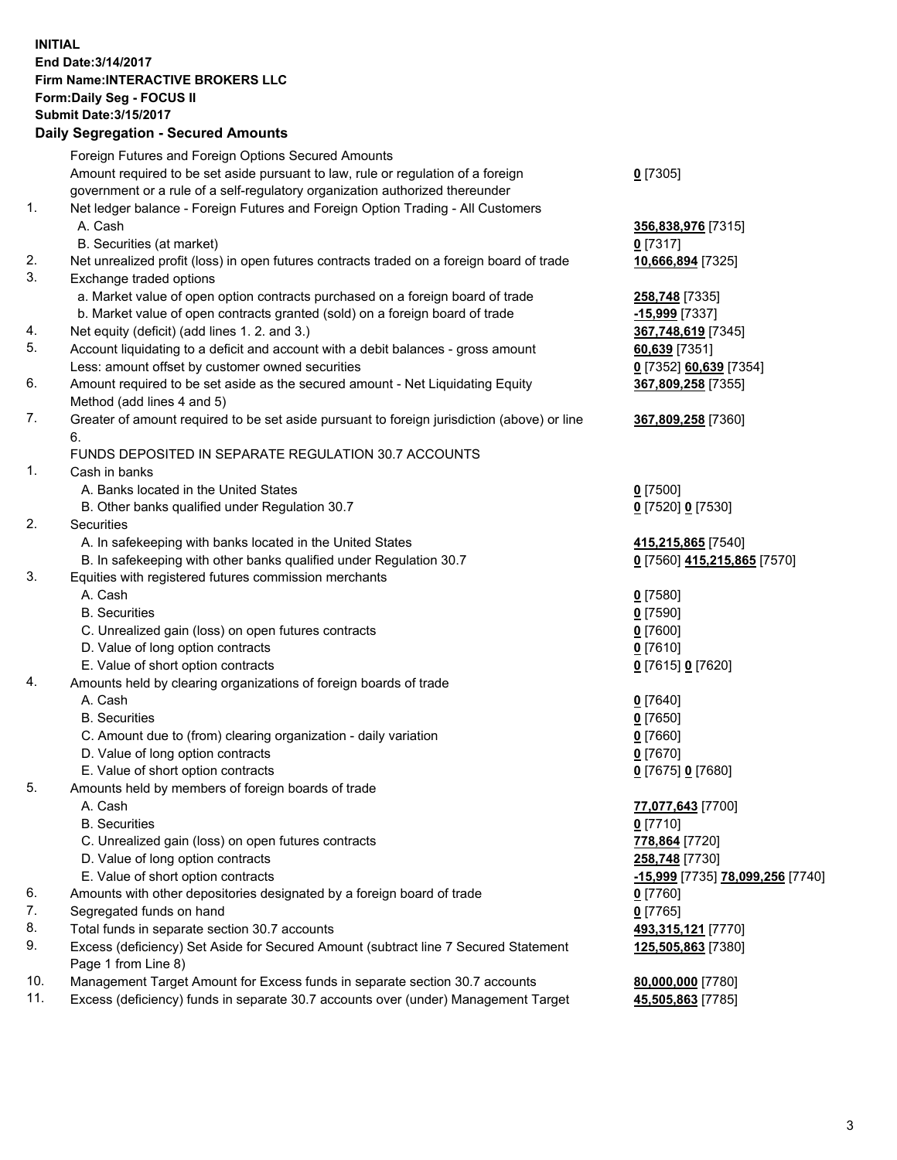## **INITIAL End Date:3/14/2017 Firm Name:INTERACTIVE BROKERS LLC Form:Daily Seg - FOCUS II Submit Date:3/15/2017 Daily Segregation - Secured Amounts**

|     | Foreign Futures and Foreign Options Secured Amounts                                                        |                                  |
|-----|------------------------------------------------------------------------------------------------------------|----------------------------------|
|     | Amount required to be set aside pursuant to law, rule or regulation of a foreign                           | $0$ [7305]                       |
|     | government or a rule of a self-regulatory organization authorized thereunder                               |                                  |
| 1.  | Net ledger balance - Foreign Futures and Foreign Option Trading - All Customers                            |                                  |
|     | A. Cash                                                                                                    | 356,838,976 [7315]               |
|     | B. Securities (at market)                                                                                  | 0 [7317]                         |
| 2.  | Net unrealized profit (loss) in open futures contracts traded on a foreign board of trade                  | 10,666,894 [7325]                |
| 3.  | Exchange traded options                                                                                    |                                  |
|     | a. Market value of open option contracts purchased on a foreign board of trade                             | 258,748 [7335]                   |
|     | b. Market value of open contracts granted (sold) on a foreign board of trade                               | -15,999 [7337]                   |
| 4.  | Net equity (deficit) (add lines 1.2. and 3.)                                                               | 367,748,619 [7345]               |
| 5.  | Account liquidating to a deficit and account with a debit balances - gross amount                          | 60,639 [7351]                    |
|     | Less: amount offset by customer owned securities                                                           | 0 [7352] 60,639 [7354]           |
| 6.  | Amount required to be set aside as the secured amount - Net Liquidating Equity                             | 367,809,258 [7355]               |
|     | Method (add lines 4 and 5)                                                                                 |                                  |
| 7.  | Greater of amount required to be set aside pursuant to foreign jurisdiction (above) or line                | 367,809,258 [7360]               |
|     | 6.                                                                                                         |                                  |
|     | FUNDS DEPOSITED IN SEPARATE REGULATION 30.7 ACCOUNTS                                                       |                                  |
| 1.  | Cash in banks                                                                                              |                                  |
|     | A. Banks located in the United States                                                                      | $0$ [7500]                       |
|     | B. Other banks qualified under Regulation 30.7                                                             | 0 [7520] 0 [7530]                |
| 2.  | Securities                                                                                                 |                                  |
|     | A. In safekeeping with banks located in the United States                                                  | 415,215,865 [7540]               |
|     | B. In safekeeping with other banks qualified under Regulation 30.7                                         | 0 [7560] 415,215,865 [7570]      |
| 3.  | Equities with registered futures commission merchants                                                      |                                  |
|     | A. Cash                                                                                                    | $0$ [7580]                       |
|     | <b>B.</b> Securities                                                                                       | $0$ [7590]                       |
|     | C. Unrealized gain (loss) on open futures contracts                                                        | $0$ [7600]                       |
|     | D. Value of long option contracts                                                                          | $0$ [7610]                       |
|     | E. Value of short option contracts                                                                         | 0 [7615] 0 [7620]                |
| 4.  | Amounts held by clearing organizations of foreign boards of trade                                          |                                  |
|     | A. Cash                                                                                                    | $0$ [7640]                       |
|     | <b>B.</b> Securities                                                                                       | $0$ [7650]                       |
|     | C. Amount due to (from) clearing organization - daily variation                                            | $0$ [7660]                       |
|     | D. Value of long option contracts                                                                          | $0$ [7670]                       |
|     | E. Value of short option contracts                                                                         | 0 [7675] 0 [7680]                |
| 5.  | Amounts held by members of foreign boards of trade                                                         |                                  |
|     | A. Cash                                                                                                    | 77,077,643 [7700]                |
|     | <b>B.</b> Securities                                                                                       | $0$ [7710]                       |
|     | C. Unrealized gain (loss) on open futures contracts                                                        | 778,864 [7720]                   |
|     | D. Value of long option contracts                                                                          | 258,748 [7730]                   |
|     | E. Value of short option contracts                                                                         | -15,999 [7735] 78,099,256 [7740] |
| 6.  | Amounts with other depositories designated by a foreign board of trade                                     | $0$ [7760]                       |
| 7.  | Segregated funds on hand                                                                                   | $0$ [7765]                       |
| 8.  | Total funds in separate section 30.7 accounts                                                              | 493,315,121 [7770]               |
| 9.  | Excess (deficiency) Set Aside for Secured Amount (subtract line 7 Secured Statement<br>Page 1 from Line 8) | 125,505,863 [7380]               |
| 10. | Management Target Amount for Excess funds in separate section 30.7 accounts                                | 80,000,000 [7780]                |
| 11. | Excess (deficiency) funds in separate 30.7 accounts over (under) Management Target                         | 45,505,863 [7785]                |
|     |                                                                                                            |                                  |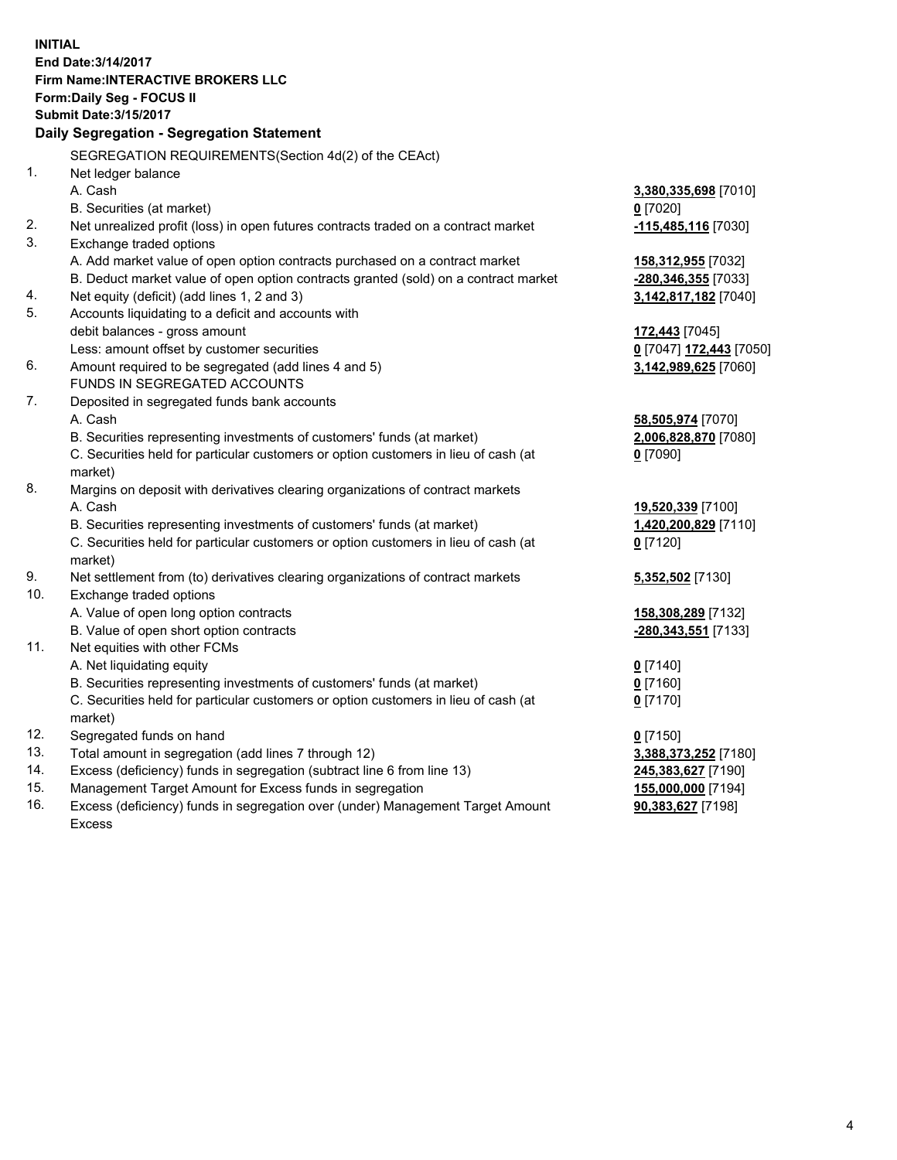**INITIAL End Date:3/14/2017 Firm Name:INTERACTIVE BROKERS LLC Form:Daily Seg - FOCUS II Submit Date:3/15/2017 Daily Segregation - Segregation Statement** SEGREGATION REQUIREMENTS(Section 4d(2) of the CEAct) 1. Net ledger balance A. Cash **3,380,335,698** [7010] B. Securities (at market) **0** [7020] 2. Net unrealized profit (loss) in open futures contracts traded on a contract market **-115,485,116** [7030] 3. Exchange traded options A. Add market value of open option contracts purchased on a contract market **158,312,955** [7032] B. Deduct market value of open option contracts granted (sold) on a contract market **-280,346,355** [7033] 4. Net equity (deficit) (add lines 1, 2 and 3) **3,142,817,182** [7040] 5. Accounts liquidating to a deficit and accounts with debit balances - gross amount **172,443** [7045] Less: amount offset by customer securities **0** [7047] **172,443** [7050] 6. Amount required to be segregated (add lines 4 and 5) **3,142,989,625** [7060] FUNDS IN SEGREGATED ACCOUNTS 7. Deposited in segregated funds bank accounts A. Cash **58,505,974** [7070] B. Securities representing investments of customers' funds (at market) **2,006,828,870** [7080] C. Securities held for particular customers or option customers in lieu of cash (at market) **0** [7090] 8. Margins on deposit with derivatives clearing organizations of contract markets A. Cash **19,520,339** [7100] B. Securities representing investments of customers' funds (at market) **1,420,200,829** [7110] C. Securities held for particular customers or option customers in lieu of cash (at market) **0** [7120] 9. Net settlement from (to) derivatives clearing organizations of contract markets **5,352,502** [7130] 10. Exchange traded options A. Value of open long option contracts **158,308,289** [7132] B. Value of open short option contracts **-280,343,551** [7133] 11. Net equities with other FCMs A. Net liquidating equity **0** [7140] B. Securities representing investments of customers' funds (at market) **0** [7160] C. Securities held for particular customers or option customers in lieu of cash (at market) **0** [7170] 12. Segregated funds on hand **0** [7150] 13. Total amount in segregation (add lines 7 through 12) **3,388,373,252** [7180] 14. Excess (deficiency) funds in segregation (subtract line 6 from line 13) **245,383,627** [7190] 15. Management Target Amount for Excess funds in segregation **155,000,000** [7194]

16. Excess (deficiency) funds in segregation over (under) Management Target Amount Excess

**90,383,627** [7198]